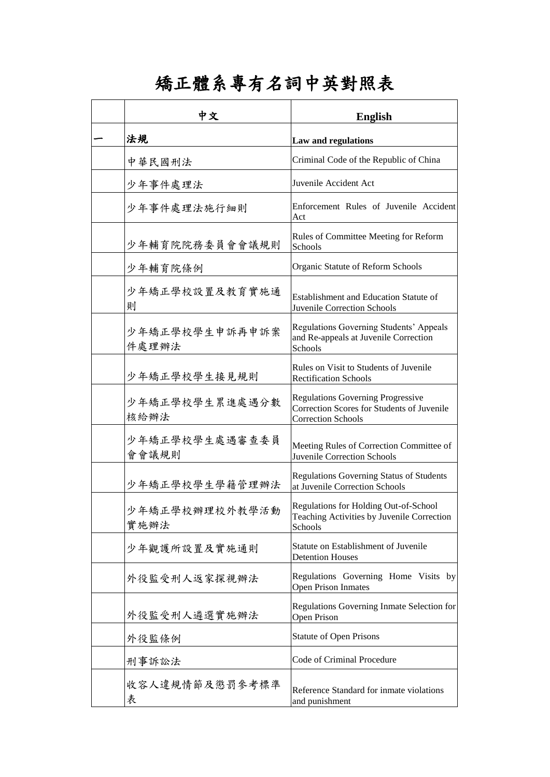## 矯正體系專有名詞中英對照表

| ヤ 文                     | <b>English</b>                                                                                                      |
|-------------------------|---------------------------------------------------------------------------------------------------------------------|
| 法規                      | Law and regulations                                                                                                 |
| 中華民國刑法                  | Criminal Code of the Republic of China                                                                              |
| 少年事件處理法                 | Juvenile Accident Act                                                                                               |
| 少年事件處理法施行細則             | Enforcement Rules of Juvenile Accident<br>Act                                                                       |
| 少年輔育院院務委員會會議規則          | Rules of Committee Meeting for Reform<br>Schools                                                                    |
| 少年輔育院條例                 | Organic Statute of Reform Schools                                                                                   |
| 少年矯正學校設置及教育實施通<br>則     | Establishment and Education Statute of<br><b>Juvenile Correction Schools</b>                                        |
| 少年矯正學校學生申訴再申訴案<br>件處理辦法 | Regulations Governing Students' Appeals<br>and Re-appeals at Juvenile Correction<br>Schools                         |
| 少年矯正學校學生接見規則            | Rules on Visit to Students of Juvenile<br><b>Rectification Schools</b>                                              |
| 少年矯正學校學生累進處遇分數<br>核給辦法  | <b>Regulations Governing Progressive</b><br>Correction Scores for Students of Juvenile<br><b>Correction Schools</b> |
| 少年矯正學校學生處遇審查委員<br>會會議規則 | Meeting Rules of Correction Committee of<br>Juvenile Correction Schools                                             |
| 少年矯正學校學生學籍管理辦法          | <b>Regulations Governing Status of Students</b><br>at Juvenile Correction Schools                                   |
| 少年矯正學校辦理校外教學活動<br>實施辦法  | Regulations for Holding Out-of-School<br>Teaching Activities by Juvenile Correction<br>Schools                      |
| 少年觀護所設置及實施通則            | Statute on Establishment of Juvenile<br><b>Detention Houses</b>                                                     |
| 外役監受刑人返家探視辦法            | Regulations Governing Home Visits by<br><b>Open Prison Inmates</b>                                                  |
| 外役監受刑人遴選實施辦法            | Regulations Governing Inmate Selection for<br>Open Prison                                                           |
| 外役監條例                   | <b>Statute of Open Prisons</b>                                                                                      |
| 刑事訴訟法                   | Code of Criminal Procedure                                                                                          |
| 收容人違規情節及懲罰參考標準<br>表     | Reference Standard for inmate violations<br>and punishment                                                          |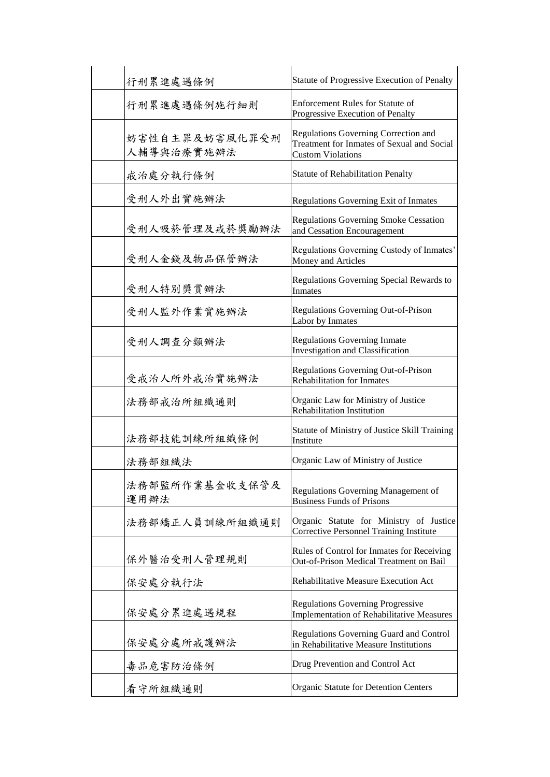| 行刑累進處遇條例                     | Statute of Progressive Execution of Penalty                                                                    |
|------------------------------|----------------------------------------------------------------------------------------------------------------|
| 行刑累進處遇條例施行細則                 | <b>Enforcement Rules for Statute of</b><br>Progressive Execution of Penalty                                    |
| 妨害性自主罪及妨害風化罪受刑<br>人輔導與治療實施辦法 | Regulations Governing Correction and<br>Treatment for Inmates of Sexual and Social<br><b>Custom Violations</b> |
| 戒治處分執行條例                     | <b>Statute of Rehabilitation Penalty</b>                                                                       |
| 受刑人外出實施辦法                    | Regulations Governing Exit of Inmates                                                                          |
| 受刑人吸菸管理及戒菸獎勵辦法               | Regulations Governing Smoke Cessation<br>and Cessation Encouragement                                           |
| 受刑人金錢及物品保管辦法                 | Regulations Governing Custody of Inmates'<br>Money and Articles                                                |
| 受刑人特別獎賞辦法                    | Regulations Governing Special Rewards to<br>Inmates                                                            |
| 受刑人監外作業實施辦法                  | Regulations Governing Out-of-Prison<br>Labor by Inmates                                                        |
| 受刑人調查分類辦法                    | <b>Regulations Governing Inmate</b><br><b>Investigation and Classification</b>                                 |
| 受戒治人所外戒治實施辦法                 | Regulations Governing Out-of-Prison<br><b>Rehabilitation for Inmates</b>                                       |
| 法務部戒治所組織通則                   | Organic Law for Ministry of Justice<br>Rehabilitation Institution                                              |
| 法務部技能訓練所組織條例                 | Statute of Ministry of Justice Skill Training<br>Institute                                                     |
| 法務部組織法                       | Organic Law of Ministry of Justice                                                                             |
| 法務部監所作業基金收支保管及<br>運用辦法       | Regulations Governing Management of<br><b>Business Funds of Prisons</b>                                        |
| 法務部矯正人員訓練所組織通則               | Organic Statute for Ministry of Justice<br>Corrective Personnel Training Institute                             |
| 保外醫治受刑人管理規則                  | Rules of Control for Inmates for Receiving<br>Out-of-Prison Medical Treatment on Bail                          |
| 保安處分執行法                      | Rehabilitative Measure Execution Act                                                                           |
| 保安處分累進處遇規程                   | <b>Regulations Governing Progressive</b><br>Implementation of Rehabilitative Measures                          |
| 保安處分處所戒護辦法                   | Regulations Governing Guard and Control<br>in Rehabilitative Measure Institutions                              |
| 毒品危害防治條例                     | Drug Prevention and Control Act                                                                                |
| 看守所組織通則                      | Organic Statute for Detention Centers                                                                          |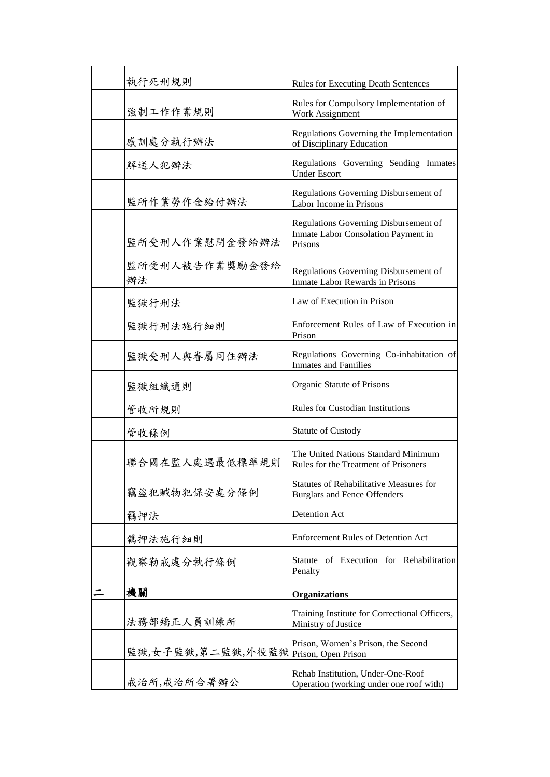|   | 執行死刑規則               | <b>Rules for Executing Death Sentences</b>                                              |
|---|----------------------|-----------------------------------------------------------------------------------------|
|   | 強制工作作業規則             | Rules for Compulsory Implementation of<br>Work Assignment                               |
|   | 感訓處分執行辦法             | Regulations Governing the Implementation<br>of Disciplinary Education                   |
|   | 解送人犯辦法               | Regulations Governing Sending Inmates<br><b>Under Escort</b>                            |
|   | 監所作業勞作金給付辦法          | Regulations Governing Disbursement of<br>Labor Income in Prisons                        |
|   | 監所受刑人作業慰問金發給辦法       | Regulations Governing Disbursement of<br>Inmate Labor Consolation Payment in<br>Prisons |
|   | 監所受刑人被告作業獎勵金發給<br>辦法 | Regulations Governing Disbursement of<br>Inmate Labor Rewards in Prisons                |
|   | 監獄行刑法                | Law of Execution in Prison                                                              |
|   | 監獄行刑法施行細則            | Enforcement Rules of Law of Execution in<br>Prison                                      |
|   | 監獄受刑人與眷屬同住辦法         | Regulations Governing Co-inhabitation of<br><b>Inmates and Families</b>                 |
|   | 監獄組織通則               | Organic Statute of Prisons                                                              |
|   | 管收所規則                | <b>Rules for Custodian Institutions</b>                                                 |
|   | 管收條例                 | <b>Statute of Custody</b>                                                               |
|   | 聯合國在監人處遇最低標準規則       | The United Nations Standard Minimum<br>Rules for the Treatment of Prisoners             |
|   | 竊盜犯贓物犯保安處分條例         | <b>Statutes of Rehabilitative Measures for</b><br><b>Burglars and Fence Offenders</b>   |
|   | 羈押法                  | Detention Act                                                                           |
|   | 羈押法施行細則              | <b>Enforcement Rules of Detention Act</b>                                               |
|   | 觀察勒戒處分執行條例           | Statute of Execution for Rehabilitation<br>Penalty                                      |
| ニ | 機關                   | <b>Organizations</b>                                                                    |
|   | 法務部矯正人員訓練所           | Training Institute for Correctional Officers,<br>Ministry of Justice                    |
|   | 監獄,女子監獄,第二監獄,外役監獄    | Prison, Women's Prison, the Second<br>Prison, Open Prison                               |
|   | 戒治所,戒治所合署辦公          | Rehab Institution, Under-One-Roof<br>Operation (working under one roof with)            |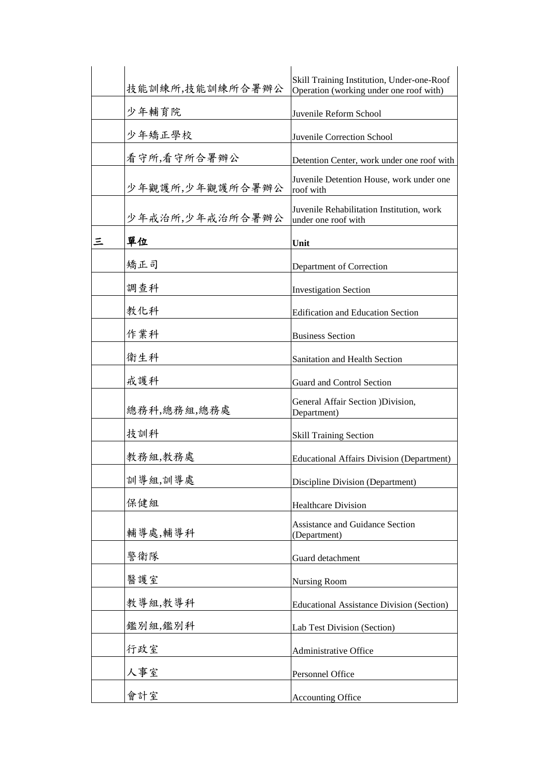|   | 技能訓練所,技能訓練所合署辦公 | Skill Training Institution, Under-one-Roof                       |
|---|-----------------|------------------------------------------------------------------|
|   | 少年輔育院           | Operation (working under one roof with)                          |
|   |                 | Juvenile Reform School                                           |
|   | 少年矯正學校          | Juvenile Correction School                                       |
|   | 看守所,看守所合署辦公     | Detention Center, work under one roof with                       |
|   | 少年觀護所,少年觀護所合署辦公 | Juvenile Detention House, work under one<br>roof with            |
|   | 少年戒治所,少年戒治所合署辦公 | Juvenile Rehabilitation Institution, work<br>under one roof with |
| 三 | 單位              | Unit                                                             |
|   | 矯正司             | Department of Correction                                         |
|   | 調查科             | <b>Investigation Section</b>                                     |
|   | 教化科             | <b>Edification and Education Section</b>                         |
|   | 作業科             | <b>Business Section</b>                                          |
|   | 衛生科             | Sanitation and Health Section                                    |
|   | 戒護科             | Guard and Control Section                                        |
|   | 總務科,總務組,總務處     | General Affair Section )Division,<br>Department)                 |
|   | 技訓科             | <b>Skill Training Section</b>                                    |
|   | 教務組,教務處         | <b>Educational Affairs Division (Department)</b>                 |
|   | 訓導組,訓導處         | Discipline Division (Department)                                 |
|   | 保健組             | <b>Healthcare Division</b>                                       |
|   | 輔導處,輔導科         | <b>Assistance and Guidance Section</b><br>(Department)           |
|   | 警衛隊             | Guard detachment                                                 |
|   | 醫護室             | <b>Nursing Room</b>                                              |
|   | 教導組,教導科         | <b>Educational Assistance Division (Section)</b>                 |
|   | 鑑別組,鑑別科         | Lab Test Division (Section)                                      |
|   | 行政室             | Administrative Office                                            |
|   | 人事室             | Personnel Office                                                 |
|   | 會計室             | <b>Accounting Office</b>                                         |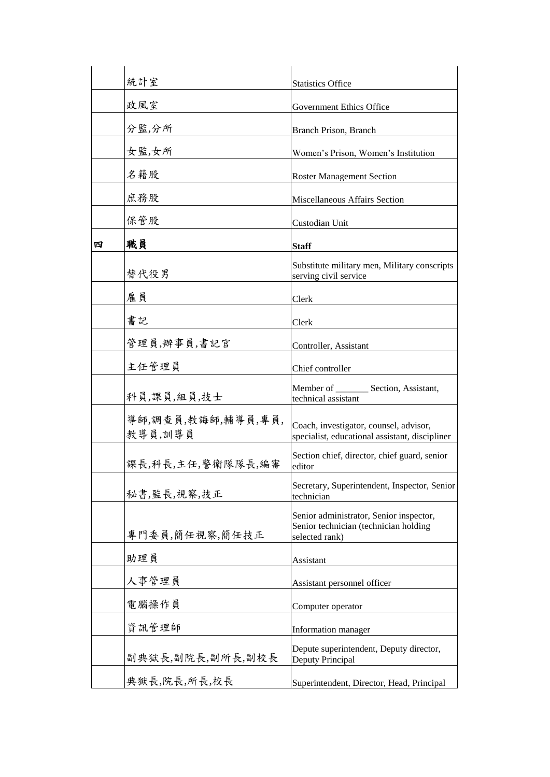|   | 統計室                           | <b>Statistics Office</b>                                                                           |
|---|-------------------------------|----------------------------------------------------------------------------------------------------|
|   | 政風室                           | <b>Government Ethics Office</b>                                                                    |
|   | 分監,分所                         | Branch Prison, Branch                                                                              |
|   | 女監,女所                         | Women's Prison, Women's Institution                                                                |
|   | 名籍股                           | <b>Roster Management Section</b>                                                                   |
|   | 庶務股                           | Miscellaneous Affairs Section                                                                      |
|   | 保管股                           | Custodian Unit                                                                                     |
| 四 | 職員                            | <b>Staff</b>                                                                                       |
|   | 替代役男                          | Substitute military men, Military conscripts<br>serving civil service                              |
|   | 雇員                            | Clerk                                                                                              |
|   | 書記                            | Clerk                                                                                              |
|   | 管理員,辦事員,書記官                   | Controller, Assistant                                                                              |
|   | 主任管理員                         | Chief controller                                                                                   |
|   | 科員,課員,組員,技士                   | Member of ________ Section, Assistant,<br>technical assistant                                      |
|   | 導師,調查員,教誨師,輔導員,專員,<br>教導員,訓導員 | Coach, investigator, counsel, advisor,<br>specialist, educational assistant, discipliner           |
|   | 課長,科長,主任,警衛隊隊長,編審             | Section chief, director, chief guard, senior<br>editor                                             |
|   | 秘書,監長,視察,技正                   | Secretary, Superintendent, Inspector, Senior<br>technician                                         |
|   | 專門委員,簡任視察,簡任技正                | Senior administrator, Senior inspector,<br>Senior technician (technician holding<br>selected rank) |
|   | 助理員                           | Assistant                                                                                          |
|   | 人事管理員                         | Assistant personnel officer                                                                        |
|   | 电腦操作員                         | Computer operator                                                                                  |
|   | 資訊管理師                         | Information manager                                                                                |
|   | 副典獄長,副院長,副所長,副校長              | Depute superintendent, Deputy director,<br>Deputy Principal                                        |
|   | 典獄長,院長,所長,校長                  | Superintendent, Director, Head, Principal                                                          |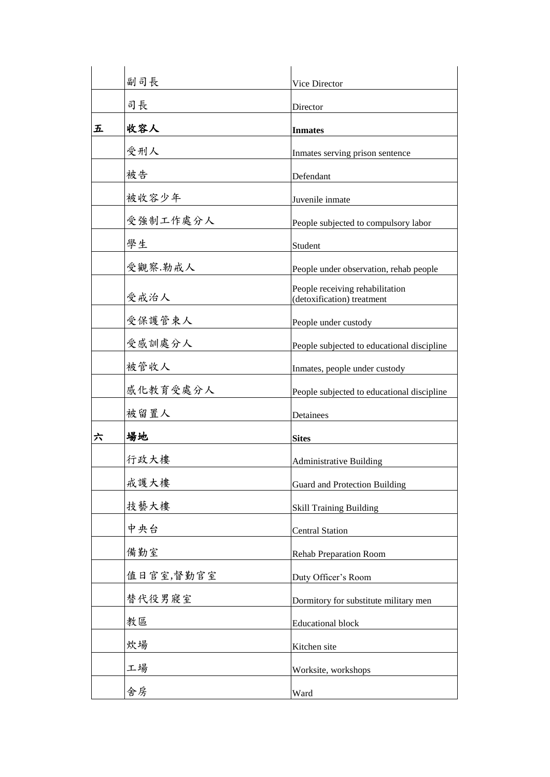|   | 副司長       | Vice Director                                                 |
|---|-----------|---------------------------------------------------------------|
|   | 司長        | Director                                                      |
| 五 | 收容人       | <b>Inmates</b>                                                |
|   | 受刑人       | Inmates serving prison sentence                               |
|   | 被告        | Defendant                                                     |
|   | 被收容少年     | Juvenile inmate                                               |
|   | 受強制工作處分人  | People subjected to compulsory labor                          |
|   | 學生        | Student                                                       |
|   | 受觀察.勒戒人   | People under observation, rehab people                        |
|   | 受戒治人      | People receiving rehabilitation<br>(detoxification) treatment |
|   | 受保護管束人    | People under custody                                          |
|   | 受感訓處分人    | People subjected to educational discipline                    |
|   | 被管收人      | Inmates, people under custody                                 |
|   | 感化教育受處分人  | People subjected to educational discipline                    |
|   | 被留置人      | Detainees                                                     |
| 六 | 場地        | <b>Sites</b>                                                  |
|   | 行政大樓      | <b>Administrative Building</b>                                |
|   | 戒護大樓      | Guard and Protection Building                                 |
|   | 技藝大樓      | <b>Skill Training Building</b>                                |
|   | 中央台       | <b>Central Station</b>                                        |
|   | 備勤室       | <b>Rehab Preparation Room</b>                                 |
|   | 值日官室,督勤官室 | Duty Officer's Room                                           |
|   | 替代役男寢室    | Dormitory for substitute military men                         |
|   | 教區        | <b>Educational block</b>                                      |
|   | 炊場        | Kitchen site                                                  |
|   | 工場        | Worksite, workshops                                           |
|   | 舍房        | Ward                                                          |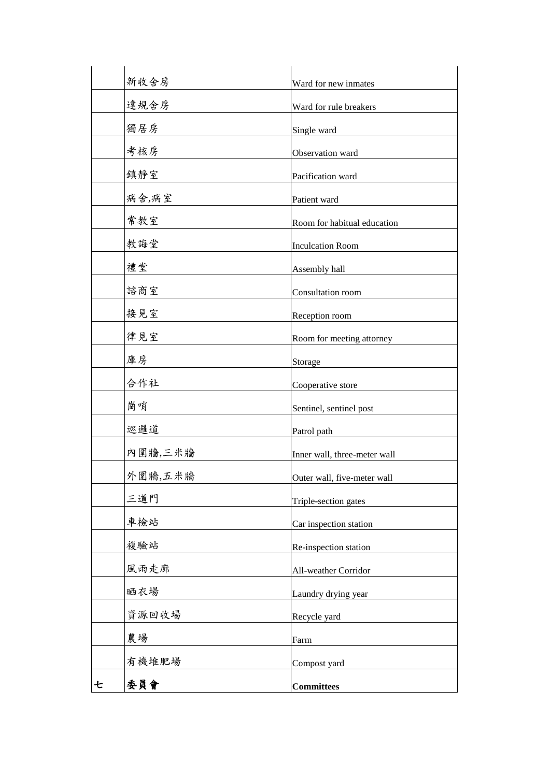|   | 新收舍房    | Ward for new inmates         |
|---|---------|------------------------------|
|   | 違規舍房    | Ward for rule breakers       |
|   | 獨居房     | Single ward                  |
|   | 考核房     | Observation ward             |
|   | 鎮靜室     | Pacification ward            |
|   | 病舍,病室   | Patient ward                 |
|   | 常教室     | Room for habitual education  |
|   | 教誨堂     | <b>Inculcation Room</b>      |
|   | 禮堂      | Assembly hall                |
|   | 諮商室     | Consultation room            |
|   | 接見室     | Reception room               |
|   | 律見室     | Room for meeting attorney    |
|   | 庫房      | Storage                      |
|   | 合作社     | Cooperative store            |
|   | 崗哨      | Sentinel, sentinel post      |
|   | 巡邏道     | Patrol path                  |
|   | 內圍牆,三米牆 | Inner wall, three-meter wall |
|   | 外圍牆,五米牆 | Outer wall, five-meter wall  |
|   | 三道門     | Triple-section gates         |
|   | 車檢站     | Car inspection station       |
|   | 複驗站     | Re-inspection station        |
|   | 風雨走廊    | All-weather Corridor         |
|   | 晒衣場     | Laundry drying year          |
|   | 資源回收場   | Recycle yard                 |
|   | 農場      | Farm                         |
|   | 有機堆肥場   | Compost yard                 |
| セ | 委員會     | <b>Committees</b>            |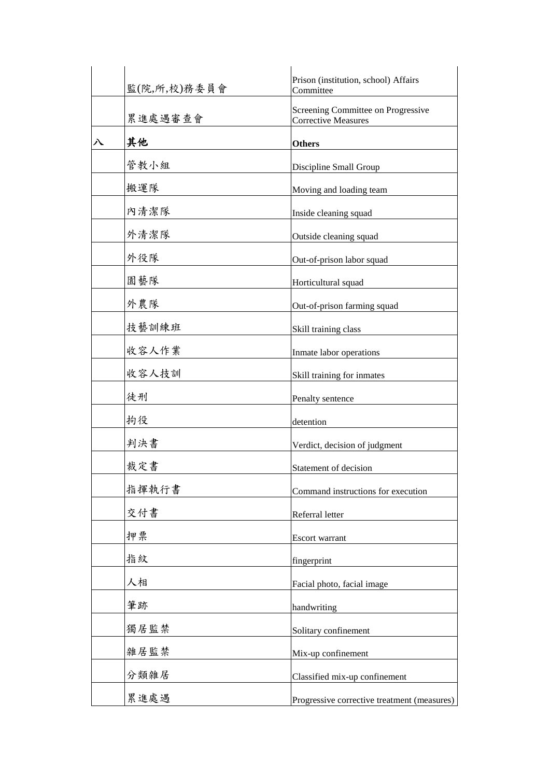|   | 監(院,所,校)務委員會 | Prison (institution, school) Affairs<br>Committee |
|---|--------------|---------------------------------------------------|
|   | 累進處遇審查會      | Screening Committee on Progressive                |
|   |              | <b>Corrective Measures</b>                        |
| 八 | 其他           | <b>Others</b>                                     |
|   | 管教小組         | Discipline Small Group                            |
|   | 搬運隊          | Moving and loading team                           |
|   | 內清潔隊         | Inside cleaning squad                             |
|   | 外清潔隊         | Outside cleaning squad                            |
|   | 外役隊          | Out-of-prison labor squad                         |
|   | 園藝隊          | Horticultural squad                               |
|   | 外農隊          | Out-of-prison farming squad                       |
|   | 技藝訓練班        | Skill training class                              |
|   | 收容人作業        | Inmate labor operations                           |
|   | 收容人技訓        | Skill training for inmates                        |
|   | 徒刑           | Penalty sentence                                  |
|   | 拘役           | detention                                         |
|   | 判決書          | Verdict, decision of judgment                     |
|   | 裁定書          | Statement of decision                             |
|   | 指揮執行書        | Command instructions for execution                |
|   | 交付書          | Referral letter                                   |
|   | 押票           | Escort warrant                                    |
|   | 指紋           | fingerprint                                       |
|   | 人相           | Facial photo, facial image                        |
|   | 筆跡           | handwriting                                       |
|   | 獨居監禁         | Solitary confinement                              |
|   | 雜居監禁         | Mix-up confinement                                |
|   | 分類雜居         | Classified mix-up confinement                     |
|   | 累進處遇         | Progressive corrective treatment (measures)       |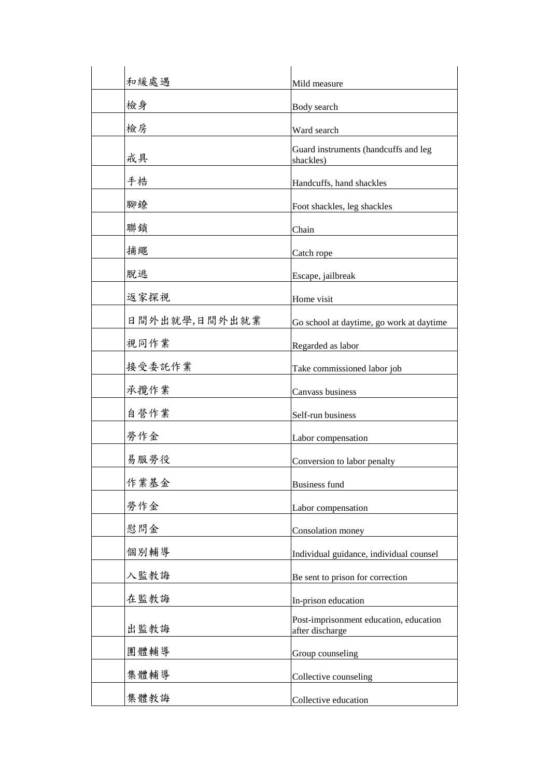| 和緩處遇          | Mild measure                                              |
|---------------|-----------------------------------------------------------|
| 檢身            | Body search                                               |
| 檢房            | Ward search                                               |
| 戒具            | Guard instruments (handcuffs and leg<br>shackles)         |
| 手梏            | Handcuffs, hand shackles                                  |
| 腳鐐            | Foot shackles, leg shackles                               |
| 聯鎖            | Chain                                                     |
| 捕繩            | Catch rope                                                |
| 脫逃            | Escape, jailbreak                                         |
| 返家探視          | Home visit                                                |
| 日間外出就學,日間外出就業 | Go school at daytime, go work at daytime                  |
| 視同作業          | Regarded as labor                                         |
| 接受委託作業        | Take commissioned labor job                               |
| 承攬作業          | Canvass business                                          |
| 自營作業          | Self-run business                                         |
| 勞作金           | Labor compensation                                        |
| 易服勞役          | Conversion to labor penalty                               |
| 作業基金          | <b>Business fund</b>                                      |
| 勞作金           | Labor compensation                                        |
| 慰問金           | Consolation money                                         |
| 個別輔導          | Individual guidance, individual counsel                   |
| 入監教誨          | Be sent to prison for correction                          |
| 在監教誨          | In-prison education                                       |
| 出監教誨          | Post-imprisonment education, education<br>after discharge |
| 團體輔導          | Group counseling                                          |
| 集體輔導          | Collective counseling                                     |
| 集體教誨          | Collective education                                      |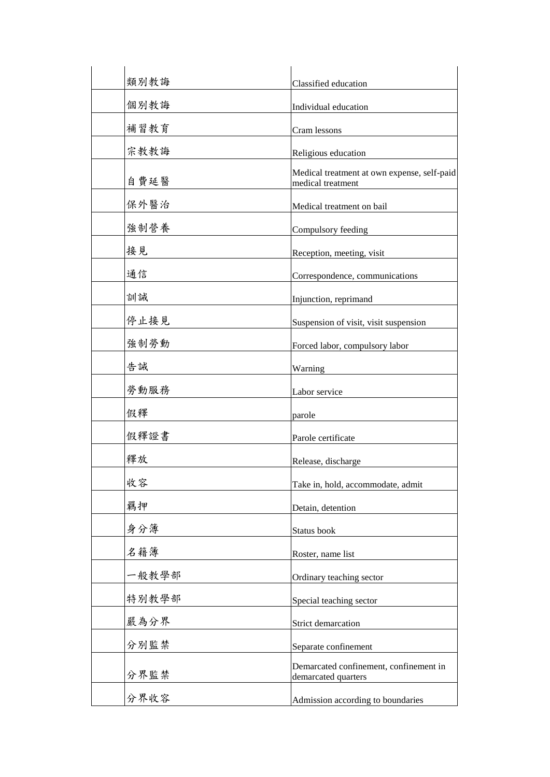| 類別教誨  | Classified education                                             |
|-------|------------------------------------------------------------------|
| 個別教誨  | Individual education                                             |
| 補習教育  | Cram lessons                                                     |
| 宗教教誨  | Religious education                                              |
| 自費延醫  | Medical treatment at own expense, self-paid<br>medical treatment |
| 保外醫治  | Medical treatment on bail                                        |
| 強制營養  | Compulsory feeding                                               |
| 接見    | Reception, meeting, visit                                        |
| 通信    | Correspondence, communications                                   |
| 訓誡    | Injunction, reprimand                                            |
| 停止接見  | Suspension of visit, visit suspension                            |
| 強制勞動  | Forced labor, compulsory labor                                   |
| 告誡    | Warning                                                          |
| 勞動服務  | Labor service                                                    |
| 假釋    | parole                                                           |
| 假釋證書  | Parole certificate                                               |
| 釋放    | Release, discharge                                               |
| 收容    | Take in, hold, accommodate, admit                                |
| 羈押    | Detain, detention                                                |
| 身分簿   | Status book                                                      |
| 名籍簿   | Roster, name list                                                |
| 一般教學部 | Ordinary teaching sector                                         |
| 特別教學部 | Special teaching sector                                          |
| 嚴為分界  | Strict demarcation                                               |
| 分別監禁  | Separate confinement                                             |
| 分界監禁  | Demarcated confinement, confinement in<br>demarcated quarters    |
| 分界收容  | Admission according to boundaries                                |